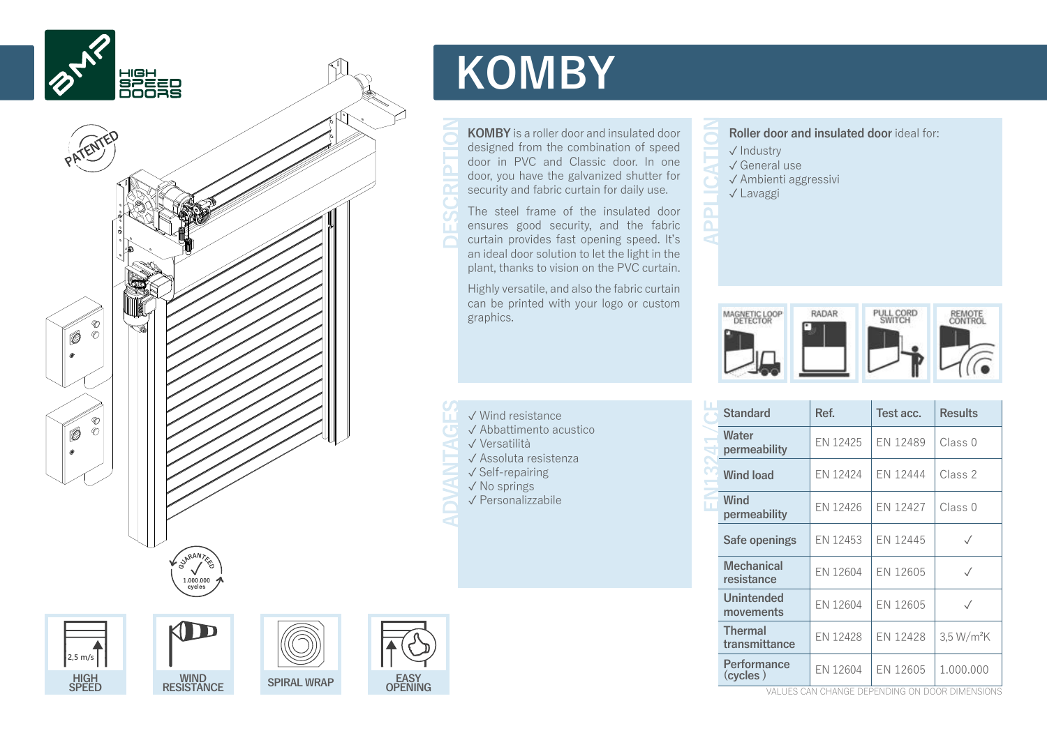

**WIND RESISTANCE SPIRAL WRAP EASY**

**CASY**<br>OPENING

**HIGH SPEED**

**2,5 m/s**

## **KOMBY**

**KOMBY** is a roller door and insulated door designed from the combination of speed door in PVC and Classic door. In one door, you have the galvanized shutter for security and fabric curtain for daily use.

The steel frame of the insulated door ensures good security, and the fabric curtain provides fast opening speed. It's an ideal door solution to let the light in the plant, thanks to vision on the PVC curtain.

Highly versatile, and also the fabric curtain can be printed with your logo or custom graphics.

- ✓ Wind resistance
- ✓ Abbattimento acustico
- ✓ Versatilità
- ✓ Assoluta resistenza
- ✓ Self-repairing
- ✓ No springs ✓ Personalizzabile
- **Roller door and insulated door** ideal for:
- ✓ Industry ✓ General use

 $\overline{\mathbf{a}}$  $\blacktriangleleft$ 

- ✓ Ambienti aggressivi
- ✓ Lavaggi



|  | <b>Standard</b>                 | Ref.     | Test acc. | <b>Results</b>         |  |
|--|---------------------------------|----------|-----------|------------------------|--|
|  | Water<br>permeability           | EN 12425 | EN 12489  | Class 0                |  |
|  | <b>Wind load</b>                | EN 12424 | EN 12444  | Class 2                |  |
|  | Wind<br>permeability            | FN 12426 | EN 12427  | Class 0                |  |
|  | Safe openings                   | EN 12453 | EN 12445  | $\sqrt{}$              |  |
|  | <b>Mechanical</b><br>resistance | EN 12604 | EN 12605  | $\sqrt{}$              |  |
|  | Unintended<br>movements         | FN 12604 | EN 12605  | $\sqrt{}$              |  |
|  | <b>Thermal</b><br>transmittance | EN 12428 | EN 12428  | 3.5 W/m <sup>2</sup> K |  |
|  | Performance<br>(cycles)         | EN 12604 | FN 12605  | 1.000.000              |  |

values can change depending on door dimensions